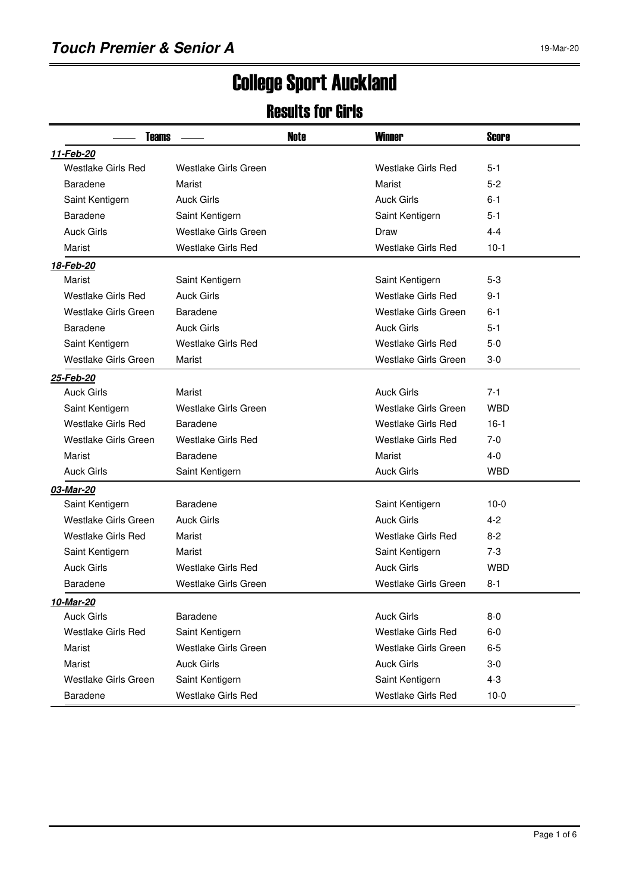# College Sport Auckland

#### Results for Girls

| <b>Teams</b>              |                           | Note | <b>Winner</b>               | <b>Score</b> |  |  |
|---------------------------|---------------------------|------|-----------------------------|--------------|--|--|
| 11-Feb-20                 |                           |      |                             |              |  |  |
| <b>Westlake Girls Red</b> | Westlake Girls Green      |      | <b>Westlake Girls Red</b>   | 5-1          |  |  |
| Baradene                  | Marist                    |      | Marist                      | $5 - 2$      |  |  |
| Saint Kentigern           | <b>Auck Girls</b>         |      | <b>Auck Girls</b>           | 6-1          |  |  |
| Baradene                  | Saint Kentigern           |      | Saint Kentigern             | 5-1          |  |  |
| <b>Auck Girls</b>         | Westlake Girls Green      |      | Draw                        | 4-4          |  |  |
| Marist                    | <b>Westlake Girls Red</b> |      | <b>Westlake Girls Red</b>   | $10-1$       |  |  |
| 18-Feb-20                 |                           |      |                             |              |  |  |
| Marist                    | Saint Kentigern           |      | Saint Kentigern             | $5-3$        |  |  |
| <b>Westlake Girls Red</b> | <b>Auck Girls</b>         |      | <b>Westlake Girls Red</b>   | 9-1          |  |  |
| Westlake Girls Green      | Baradene                  |      | Westlake Girls Green        | 6-1          |  |  |
| Baradene                  | <b>Auck Girls</b>         |      | <b>Auck Girls</b>           | 5-1          |  |  |
| Saint Kentigern           | <b>Westlake Girls Red</b> |      | <b>Westlake Girls Red</b>   | $5-0$        |  |  |
| Westlake Girls Green      | Marist                    |      | Westlake Girls Green        | 3-0          |  |  |
| 25-Feb-20                 |                           |      |                             |              |  |  |
| Auck Girls                | Marist                    |      | <b>Auck Girls</b>           | $7-1$        |  |  |
| Saint Kentigern           | Westlake Girls Green      |      | Westlake Girls Green        | <b>WBD</b>   |  |  |
| <b>Westlake Girls Red</b> | Baradene                  |      | Westlake Girls Red          | $16-1$       |  |  |
| Westlake Girls Green      | <b>Westlake Girls Red</b> |      | <b>Westlake Girls Red</b>   | $7-0$        |  |  |
| Marist                    | <b>Baradene</b>           |      | Marist                      | $4 - 0$      |  |  |
| <b>Auck Girls</b>         | Saint Kentigern           |      | <b>Auck Girls</b>           | <b>WBD</b>   |  |  |
| 03-Mar-20                 |                           |      |                             |              |  |  |
| Saint Kentigern           | Baradene                  |      | Saint Kentigern             | $10-0$       |  |  |
| Westlake Girls Green      | <b>Auck Girls</b>         |      | <b>Auck Girls</b>           | $4 - 2$      |  |  |
| <b>Westlake Girls Red</b> | Marist                    |      | <b>Westlake Girls Red</b>   | $8 - 2$      |  |  |
| Saint Kentigern           | Marist                    |      | Saint Kentigern             | 7-3          |  |  |
| <b>Auck Girls</b>         | <b>Westlake Girls Red</b> |      | <b>Auck Girls</b>           | <b>WBD</b>   |  |  |
| Baradene                  | Westlake Girls Green      |      | <b>Westlake Girls Green</b> | $8 - 1$      |  |  |
| 10-Mar-20                 |                           |      |                             |              |  |  |
| <b>Auck Girls</b>         | Baradene                  |      | <b>Auck Girls</b>           | $8-0$        |  |  |
| Westlake Girls Red        | Saint Kentigern           |      | <b>Westlake Girls Red</b>   | $6-0$        |  |  |
| Marist                    | Westlake Girls Green      |      | Westlake Girls Green        | $6-5$        |  |  |
| Marist                    | <b>Auck Girls</b>         |      | <b>Auck Girls</b>           | $3-0$        |  |  |
| Westlake Girls Green      | Saint Kentigern           |      | Saint Kentigern             | $4 - 3$      |  |  |
| Baradene                  | Westlake Girls Red        |      | Westlake Girls Red          | $10-0$       |  |  |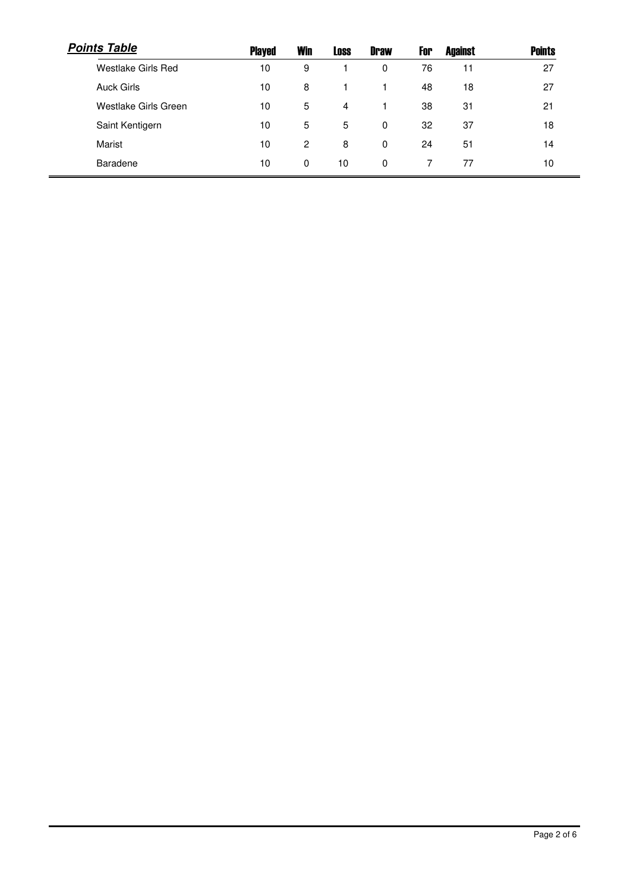| <b>Points Table</b>  | <b>Played</b> | <b>Win</b>     | <b>Loss</b> | <b>Draw</b> | For | <b>Against</b> | <b>Points</b> |
|----------------------|---------------|----------------|-------------|-------------|-----|----------------|---------------|
| Westlake Girls Red   | 10            | 9              |             | 0           | 76  | 11             | 27            |
| <b>Auck Girls</b>    | 10            | 8              |             |             | 48  | 18             | 27            |
| Westlake Girls Green | 10            | 5              | 4           |             | 38  | 31             | 21            |
| Saint Kentigern      | 10            | 5              | 5           | 0           | 32  | 37             | 18            |
| Marist               | 10            | $\overline{2}$ | 8           | 0           | 24  | 51             | 14            |
| Baradene             | 10            | $\Omega$       | 10          | 0           |     | 77             | 10            |
|                      |               |                |             |             |     |                |               |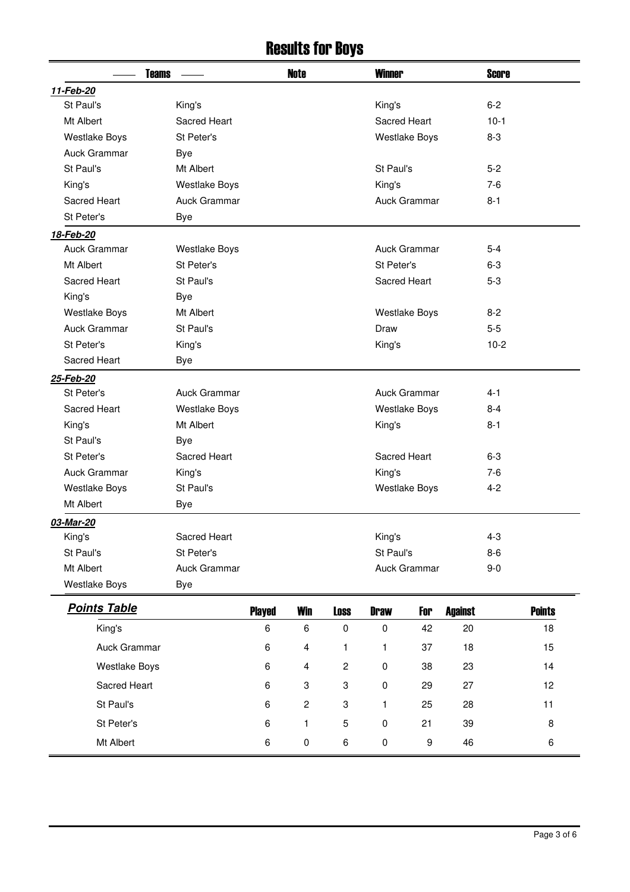### Results for Boys

| <b>Teams</b>         |                      |               | <b>Note</b>    |                         | <b>Winner</b> |                      |                | <b>Score</b> |               |  |
|----------------------|----------------------|---------------|----------------|-------------------------|---------------|----------------------|----------------|--------------|---------------|--|
| 11-Feb-20            |                      |               |                |                         |               |                      |                |              |               |  |
| St Paul's            | King's               |               |                |                         | King's        |                      |                | $6 - 2$      |               |  |
| Mt Albert            | Sacred Heart         |               |                |                         | Sacred Heart  |                      |                | $10-1$       |               |  |
| <b>Westlake Boys</b> | St Peter's           |               |                |                         |               | <b>Westlake Boys</b> |                | $8 - 3$      |               |  |
| Auck Grammar         | <b>Bye</b>           |               |                |                         |               |                      |                |              |               |  |
| St Paul's            | Mt Albert            |               |                |                         | St Paul's     |                      |                | $5-2$        |               |  |
| King's               | <b>Westlake Boys</b> |               |                |                         | King's        |                      |                | $7-6$        |               |  |
| Sacred Heart         | Auck Grammar         |               |                |                         |               | Auck Grammar         |                | $8 - 1$      |               |  |
| St Peter's           | <b>Bye</b>           |               |                |                         |               |                      |                |              |               |  |
| 18-Feb-20            |                      |               |                |                         |               |                      |                |              |               |  |
| Auck Grammar         | <b>Westlake Boys</b> |               |                |                         |               | Auck Grammar         |                | $5 - 4$      |               |  |
| Mt Albert            | St Peter's           |               |                |                         | St Peter's    |                      |                | $6-3$        |               |  |
| Sacred Heart         | St Paul's            |               |                |                         | Sacred Heart  |                      |                | $5-3$        |               |  |
| King's               | <b>Bye</b>           |               |                |                         |               |                      |                |              |               |  |
| <b>Westlake Boys</b> | Mt Albert            |               |                |                         |               | <b>Westlake Boys</b> |                | $8 - 2$      |               |  |
| Auck Grammar         | St Paul's            |               |                |                         | Draw          |                      |                | $5-5$        |               |  |
| St Peter's           | King's               |               |                |                         | King's        |                      |                | $10-2$       |               |  |
| Sacred Heart         | <b>Bye</b>           |               |                |                         |               |                      |                |              |               |  |
| 25-Feb-20            |                      |               |                |                         |               |                      |                |              |               |  |
| St Peter's           | Auck Grammar         |               |                |                         |               | Auck Grammar         |                | $4 - 1$      |               |  |
| Sacred Heart         | <b>Westlake Boys</b> |               |                |                         |               | <b>Westlake Boys</b> |                | $8 - 4$      |               |  |
| King's               | Mt Albert            |               |                |                         | King's        |                      |                | $8 - 1$      |               |  |
| St Paul's            | Bye                  |               |                |                         |               |                      |                |              |               |  |
| St Peter's           | Sacred Heart         |               |                |                         | Sacred Heart  |                      |                | $6 - 3$      |               |  |
| Auck Grammar         | King's               |               |                |                         | King's        |                      |                | $7-6$        |               |  |
| <b>Westlake Boys</b> | St Paul's            |               |                |                         |               | <b>Westlake Boys</b> |                | $4 - 2$      |               |  |
| Mt Albert            | <b>Bye</b>           |               |                |                         |               |                      |                |              |               |  |
| 03-Mar-20            |                      |               |                |                         |               |                      |                |              |               |  |
| King's               | Sacred Heart         |               |                |                         | King's        |                      |                | $4 - 3$      |               |  |
| St Paul's            | St Peter's           |               |                |                         | St Paul's     |                      |                | $8 - 6$      |               |  |
| Mt Albert            | Auck Grammar         |               |                |                         |               | Auck Grammar         |                | $9-0$        |               |  |
| <b>Westlake Boys</b> | Bye                  |               |                |                         |               |                      |                |              |               |  |
| <b>Points Table</b>  |                      | <b>Played</b> | <b>Win</b>     | <b>Loss</b>             | <b>Draw</b>   | For                  | <b>Against</b> |              | <b>Points</b> |  |
| King's               |                      | 6             | 6              | $\pmb{0}$               | 0             | 42                   | 20             |              | 18            |  |
| Auck Grammar         |                      | 6             | 4              | 1                       | 1             | 37                   | 18             |              | 15            |  |
| <b>Westlake Boys</b> |                      | 6             | 4              | $\overline{\mathbf{c}}$ | 0             | 38                   | 23             |              | 14            |  |
| Sacred Heart         |                      | 6             | 3              | 3                       | 0             | 29                   | 27             |              | 12            |  |
| St Paul's            |                      | 6             | $\overline{c}$ | 3                       | 1             | 25                   | 28             |              | 11            |  |
| St Peter's           |                      | 6             | 1              | 5                       | 0             | 21                   | 39             |              | 8             |  |
| Mt Albert            |                      | 6             | $\pmb{0}$      | 6                       | 0             | $\boldsymbol{9}$     | 46             |              | 6             |  |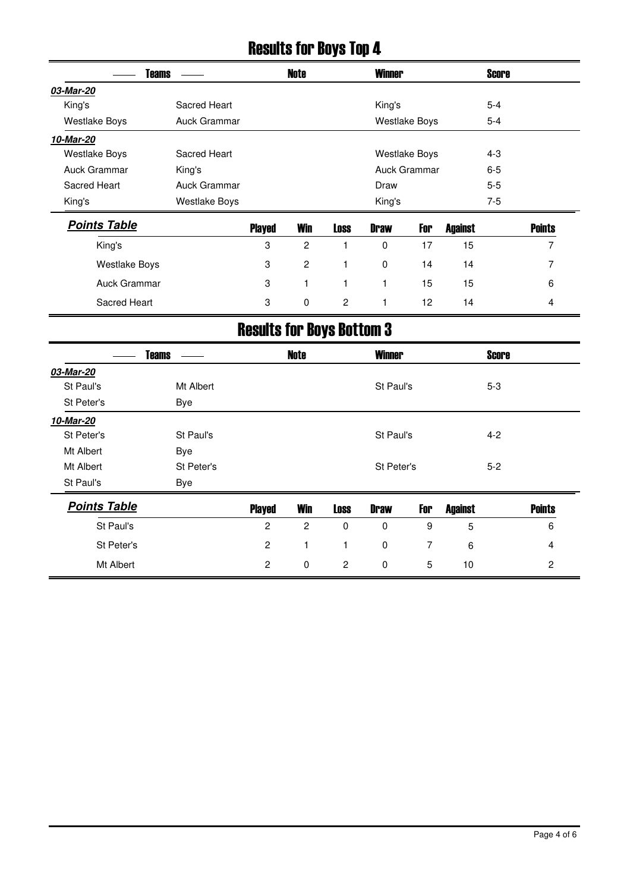# Results for Boys Top 4

|                      | <b>Teams</b>         |               | Note           |             | <b>Winner</b> |                      |                | <b>Score</b> |               |
|----------------------|----------------------|---------------|----------------|-------------|---------------|----------------------|----------------|--------------|---------------|
| 03-Mar-20            |                      |               |                |             |               |                      |                |              |               |
| King's               | Sacred Heart         |               |                |             | King's        |                      |                | $5 - 4$      |               |
| <b>Westlake Boys</b> | Auck Grammar         |               |                |             |               | <b>Westlake Boys</b> |                | $5 - 4$      |               |
| 10-Mar-20            |                      |               |                |             |               |                      |                |              |               |
| <b>Westlake Boys</b> | Sacred Heart         |               |                |             |               | <b>Westlake Boys</b> |                | $4 - 3$      |               |
| Auck Grammar         | King's               |               |                |             |               | Auck Grammar         |                | $6-5$        |               |
| Sacred Heart         | Auck Grammar         |               |                |             | Draw          |                      |                | $5 - 5$      |               |
| King's               | <b>Westlake Boys</b> |               |                |             | King's        |                      |                | $7-5$        |               |
| <b>Points Table</b>  |                      | <b>Played</b> | <b>Win</b>     | <b>Loss</b> | <b>Draw</b>   | For                  | <b>Against</b> |              | <b>Points</b> |
| King's               |                      | 3             | $\overline{2}$ |             | $\Omega$      | 17                   | 15             |              | 7             |
| <b>Westlake Boys</b> |                      | 3             | $\overline{c}$ |             | 0             | 14                   | 14             |              | 7             |
| Auck Grammar         |                      | 3             | 1              |             | 1             | 15                   | 15             |              | 6             |
| Sacred Heart         |                      | 3             | 0              | 2           | 1             | 12 <sup>2</sup>      | 14             |              | 4             |

## Results for Boys Bottom 3

|                     | <b>Teams</b> |                | <b>Note</b>    |                | <b>Winner</b> |     |                | <b>Score</b> |                |
|---------------------|--------------|----------------|----------------|----------------|---------------|-----|----------------|--------------|----------------|
| 03-Mar-20           |              |                |                |                |               |     |                |              |                |
| St Paul's           | Mt Albert    |                |                |                | St Paul's     |     |                | $5-3$        |                |
| St Peter's          | Bye          |                |                |                |               |     |                |              |                |
| 10-Mar-20           |              |                |                |                |               |     |                |              |                |
| St Peter's          | St Paul's    |                |                |                | St Paul's     |     |                | $4 - 2$      |                |
| Mt Albert           | Bye          |                |                |                |               |     |                |              |                |
| Mt Albert           | St Peter's   |                |                |                | St Peter's    |     |                | $5 - 2$      |                |
| St Paul's           | Bye          |                |                |                |               |     |                |              |                |
| <b>Points Table</b> |              | <b>Played</b>  | <b>Win</b>     | <b>Loss</b>    | <b>Draw</b>   | For | <b>Against</b> |              | <b>Points</b>  |
| St Paul's           |              | $\overline{c}$ | $\overline{c}$ | $\mathbf 0$    | $\mathbf 0$   | 9   | 5              |              | 6              |
| St Peter's          |              | $\overline{2}$ | 1              | 1              | $\mathbf 0$   | 7   | 6              |              | 4              |
| Mt Albert           |              | $\overline{2}$ | 0              | $\overline{2}$ | 0             | 5   | 10             |              | $\overline{c}$ |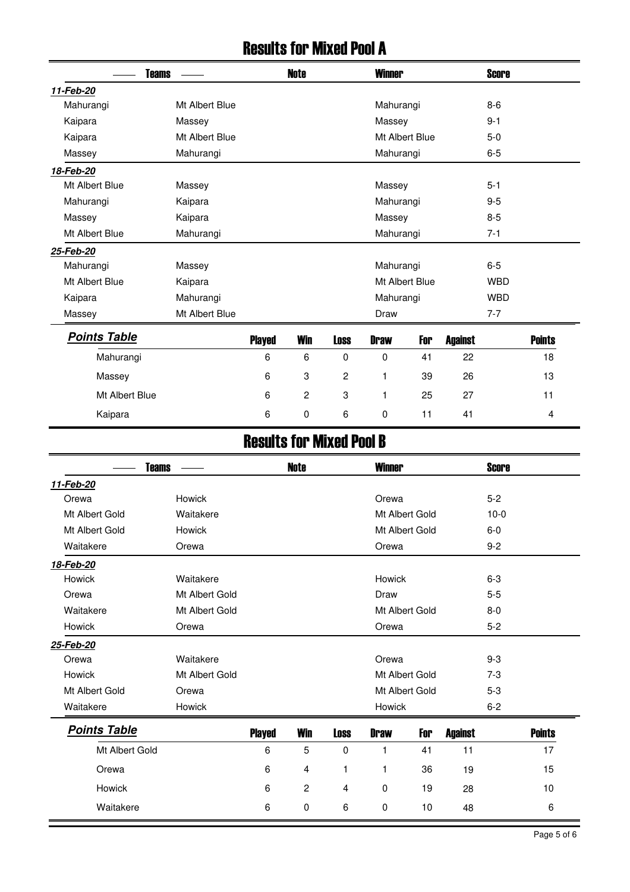### Results for Mixed Pool A

|                     | <b>Teams</b>   |               | <b>Note</b>    |                | <b>Winner</b> |                |                | <b>Score</b> |               |
|---------------------|----------------|---------------|----------------|----------------|---------------|----------------|----------------|--------------|---------------|
| 11-Feb-20           |                |               |                |                |               |                |                |              |               |
| Mahurangi           | Mt Albert Blue |               |                |                | Mahurangi     |                |                | $8-6$        |               |
| Kaipara             | Massey         |               |                |                | Massey        |                |                | $9 - 1$      |               |
| Kaipara             | Mt Albert Blue |               |                |                |               | Mt Albert Blue |                | $5-0$        |               |
| Massey              | Mahurangi      |               |                |                | Mahurangi     |                |                | $6-5$        |               |
| 18-Feb-20           |                |               |                |                |               |                |                |              |               |
| Mt Albert Blue      | Massey         |               |                |                | Massey        |                |                | $5 - 1$      |               |
| Mahurangi           | Kaipara        |               |                |                | Mahurangi     |                |                | $9 - 5$      |               |
| Massey              | Kaipara        |               |                |                | Massey        |                |                | $8 - 5$      |               |
| Mt Albert Blue      | Mahurangi      |               |                |                | Mahurangi     |                |                | $7 - 1$      |               |
| 25-Feb-20           |                |               |                |                |               |                |                |              |               |
| Mahurangi           | Massey         |               |                |                | Mahurangi     |                |                | $6-5$        |               |
| Mt Albert Blue      | Kaipara        |               |                |                |               | Mt Albert Blue |                | <b>WBD</b>   |               |
| Kaipara             | Mahurangi      |               |                |                | Mahurangi     |                |                | <b>WBD</b>   |               |
| Massey              | Mt Albert Blue |               |                |                | Draw          |                |                | $7 - 7$      |               |
| <b>Points Table</b> |                | <b>Played</b> | <b>Win</b>     | <b>Loss</b>    | <b>Draw</b>   | For            | <b>Against</b> |              | <b>Points</b> |
| Mahurangi           |                | 6             | 6              | $\mathbf 0$    | $\mathbf 0$   | 41             | 22             |              | 18            |
| Massey              |                | 6             | 3              | $\overline{c}$ | 1             | 39             | 26             |              | 13            |
| Mt Albert Blue      |                | 6             | $\overline{c}$ | 3              | 1             | 25             | 27             |              | 11            |
| Kaipara             |                | 6             | 0              | 6              | 0             | 11             | 41             |              | 4             |

### Results for Mixed Pool B

| <b>Teams</b>        |                |               | <b>Note</b>  |             | <b>Winner</b> |                |                | <b>Score</b> |               |
|---------------------|----------------|---------------|--------------|-------------|---------------|----------------|----------------|--------------|---------------|
| 11-Feb-20           |                |               |              |             |               |                |                |              |               |
| Orewa               | Howick         |               |              |             | Orewa         |                |                | $5-2$        |               |
| Mt Albert Gold      | Waitakere      |               |              |             |               | Mt Albert Gold |                | $10-0$       |               |
| Mt Albert Gold      | Howick         |               |              |             |               | Mt Albert Gold |                | $6-0$        |               |
| Waitakere           | Orewa          |               |              |             | Orewa         |                |                | $9 - 2$      |               |
| 18-Feb-20           |                |               |              |             |               |                |                |              |               |
| Howick              | Waitakere      |               |              |             | Howick        |                |                | $6-3$        |               |
| Orewa               | Mt Albert Gold |               |              |             | Draw          |                |                | $5-5$        |               |
| Waitakere           | Mt Albert Gold |               |              |             |               | Mt Albert Gold |                | $8 - 0$      |               |
| Howick              | Orewa          |               |              |             | Orewa         |                |                | $5 - 2$      |               |
| 25-Feb-20           |                |               |              |             |               |                |                |              |               |
| Orewa               | Waitakere      |               |              |             | Orewa         |                |                | $9-3$        |               |
| Howick              | Mt Albert Gold |               |              |             |               | Mt Albert Gold |                | $7-3$        |               |
| Mt Albert Gold      | Orewa          |               |              |             |               | Mt Albert Gold |                | $5-3$        |               |
| Waitakere           | Howick         |               |              |             | Howick        |                |                | $6 - 2$      |               |
| <b>Points Table</b> |                | <b>Played</b> | <b>Win</b>   | <b>Loss</b> | <b>Draw</b>   | For            | <b>Against</b> |              | <b>Points</b> |
| Mt Albert Gold      |                | 6             | 5            | $\mathbf 0$ | 1             | 41             | 11             |              | 17            |
| Orewa               |                | 6             | 4            | 1           | 1             | 36             | 19             |              | 15            |
| <b>Howick</b>       |                | 6             | $\mathbf{2}$ | 4           | 0             | 19             | 28             |              | 10            |
| Waitakere           |                | 6             | 0            | 6           | 0             | 10             | 48             |              | 6             |